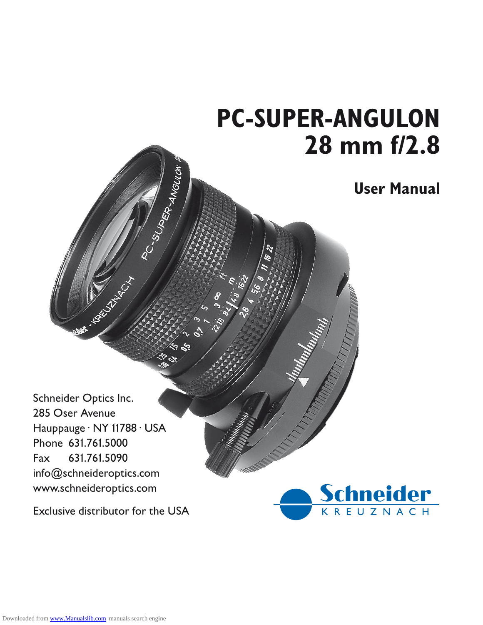# **PC-SUPER-ANGULON 28 mm f/2.8**

#### **User Manual**

Schneider Optics Inc<br>
285 Oser Avenue<br>
Hauppauge · NY 1178<br>
Phone 631.761.5000<br>
Fax 631.761.5090<br>
info@schneideroptics<br>
www.schneideroptics<br>
Exclusive distributor 285 Oser Avenue Hauppauge · NY 11788 · USA Phone 631.761.5000<br>Fax 631.761.5090<br>info@schneideropti<br>www.schneideroptic<br>Exclusive distributor Fax 631.761.5090<br>info@schneideropti<br>www.schneideroptic<br>Exclusive distributor info@schneideroptics.com<br>www.schneideroptics.com<br>Exclusive distributor for th

**HARCOCK CT** 

PC-SUPER-MGUION

 $\ddot{\mathcal{S}}$ 

www.schneideroptics.com<br>Exclusive distributor for the<br>Exclusive distributor for the Exclusive distributor for the USA

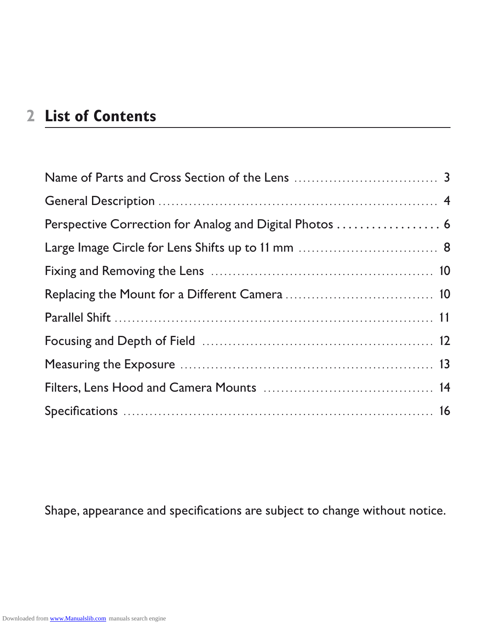## **List of Contents**

| Perspective Correction for Analog and Digital Photos  6 |  |
|---------------------------------------------------------|--|
|                                                         |  |
|                                                         |  |
|                                                         |  |
|                                                         |  |
|                                                         |  |
|                                                         |  |
|                                                         |  |
|                                                         |  |
|                                                         |  |
|                                                         |  |
|                                                         |  |

Shape, appearance and specifications are subject to change without notice.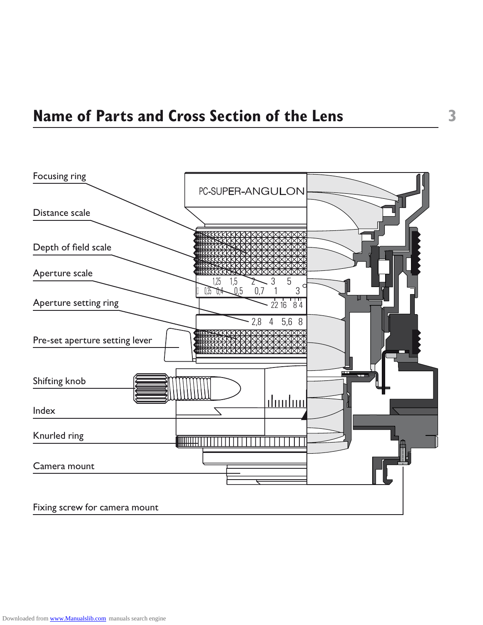

 $\overline{\mathbf{3}}$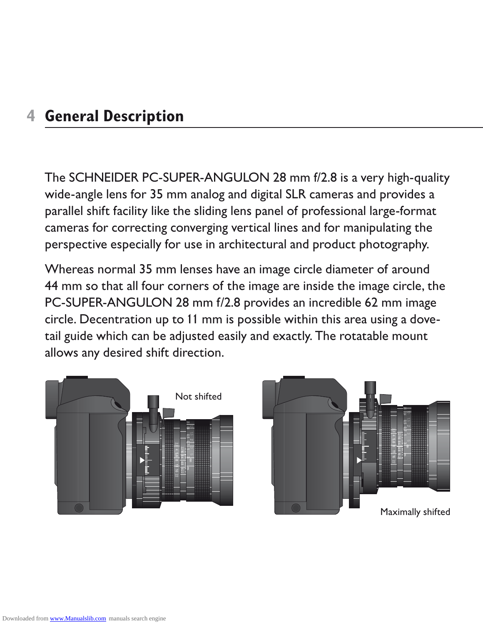#### **General Description**

wide-angle lens for 35 mm analog and digital SLR cameras and provides a parallel shift facility like the sliding lens panel of professional large-format cameras for correcting converging vertical lines and for manipulating the

The SCHNEIDER PC-SUPER-ANGULON 28 mm f/2.8 is a very high-quality wide-angle lens for 35 mm analog and digital SLR cameras and provides a parallel shift facility like the sliding lens panel of professional large-format cam perspective especially for use in architectural and product photography.<br>
Whereas normal 35 mm lenses have an image circle diameter of around<br>
44 mm so that all four corners of the image are inside the image circle,<br>
PC-SU Whereas normal 35 mm lenses have an image circle diameter of around 44 mm so that all four corners of the image are inside the image circle, the



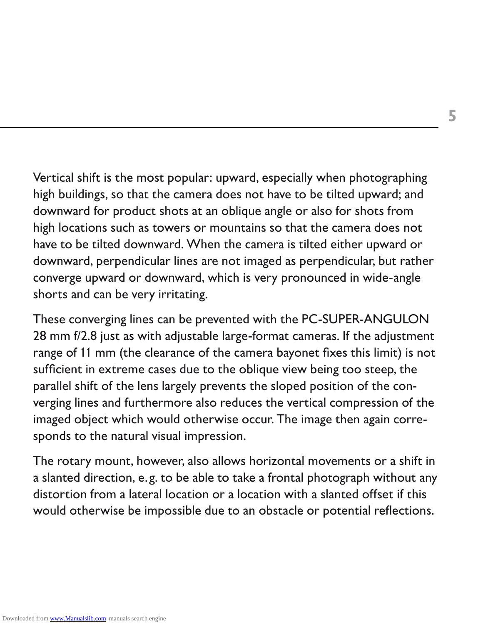Vertical shift is the most popular: upward, especially when photographing high buildings, so that the camera does not have to be tilted upward; and downward for product shots at an oblique angle or also for shots from high locations such as towers or mountains so that the camera does not downward, perpendicular lines are not imaged as perpendicular, but rather converge upward or downward, which is very pronounced in wide-angle

have to be tilted downward. When the camera is tilted either upward or<br>downward, perpendicular lines are not imaged as perpendicular, but rathe<br>converge upward or downward, which is very pronounced in wide-angle<br>shorts and shorts and can be very irritating<br>These converging lines can be pr<br>28 mm f/2.8 just as with adjustal<br>range of 11 mm (the clearance o<br>sufficient in extreme cases due t<br>parallel shift of the lens largely p<br>verging lines and These converging lines can be prevented with the PC-SUPER-ANGULON 28 mm f/2.8 just as with adjustable large-format cameras. If the adjustment range of 11 mm (the clearance of the camera bayonet fixes this limit) is not sufficient in extreme cases due to the oblique view being too steep, range of 11 mm (the clearance of the camera bayonet fixes this limit) is not sufficient in extreme cases due to the oblique view being too steep, the parallel shift of the lens largely prevents the sloped position of the converging lines and furthermore also reduces the vertical compression of the

imaged object which would otherwise occur. The image then again corresponds to the natural visual impression.<br>The rotary mount, however, also allows horizontal movements or a shift is<br>a slanted direction, e.g. to be able t sponds to the natural visual impression<br>The rotary mount, however, also allows<br>a slanted direction, e.g. to be able to ta<br>distortion from a lateral location or a lo<br>would otherwise be impossible due to The rotary mount, however, also allows horizontal movements or a shift in a slanted direction, e.g. to be able to take a frontal photograph without any<br>distortion from a lateral location or a location with a slanted offset if this<br>would otherwise be impossible due to an obstacle or potential ref distortion from a lateral location or a location with a slanted offset if this would otherwise be impossible due to an obstacle or potential reflections.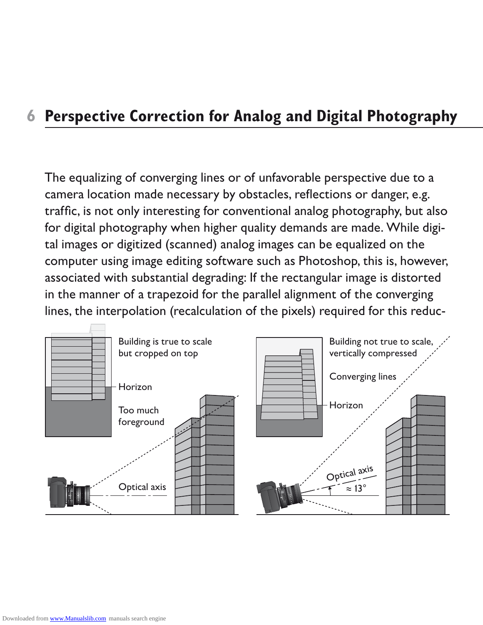### **Perspective Correction for Analog and Digital Photography**

The equalizing of converging lines or of unfavorable perspective due to a traffic, is not only interesting for conventional analog photography, but also tal images or digitized (scanned) analog images can be equalized on the computer using image editing software such as Photoshop, this is, however, associated with substantial degrading: If the rectangular image is distorted in the manner of a trapezoid for the parallel alignment of the converging lines, the interpolation (recalculation of the pixels) required for this reduc-

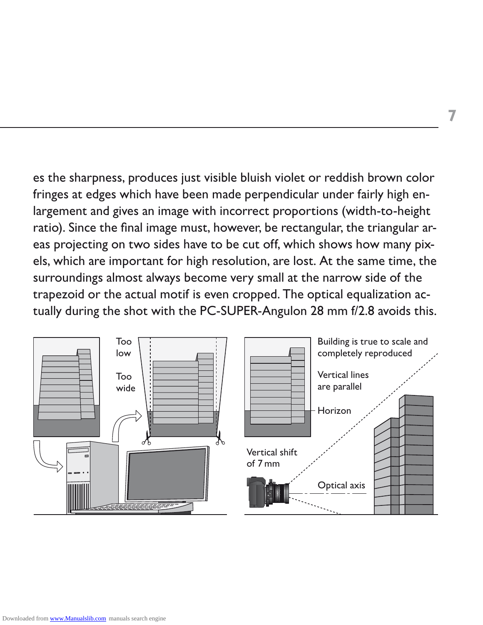es the sharpness, produces just visible bluish violet or reddish brown color fringes at edges which have been made perpendicular under fairly high enlargement and gives an image with incorrect proportions (width-to-height eas projecting on two sides have to be cut off, which shows how many pixsurroundings almost always become very small at the narrow side of the

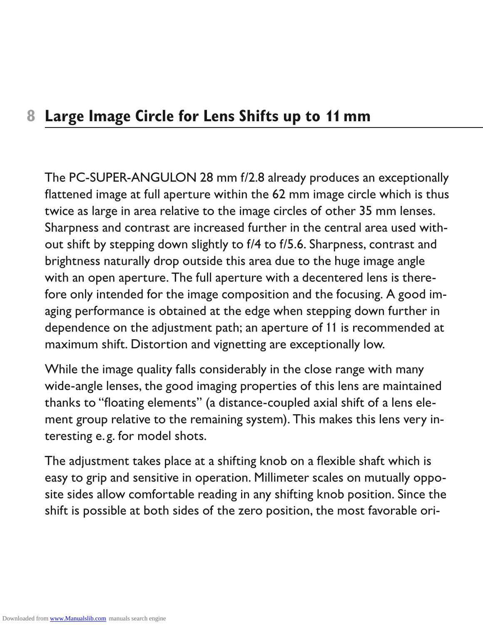#### **Large Image Circle for Lens Shifts up to 1¡ mm**

The PC-SUPER-ANGULON 28 mm f/2.8 already produces an exceptionally flattened image at full aperture within the 62 mm image circle which is thus twice as large in area relative to the image circles of other 35 mm lenses. Sh flattened image at full aperture within the 62 mm image circle which is thus twice as large in area relative to the image circles of other 35 mm lenses<br>Sharpness and contrast are increased further in the central area used wi<br>out shift by stepping down slightly to f/4 to f/5.6. Sharpness, contrast a Sharpness and contrast are increased further in the central area used without shift by stepping down slightly to f/4 to f/5.6. Sharpness, contrast and<br>brightness naturally drop outside this area due to the huge image angle<br>with an open aperture. The full aperture with a decentered lens is therebrightness naturally drop outside this area due to the huge image angle with an open aperture. The full aperture with a decentered lens is there-<br>fore only intended for the image composition and the focusing. A good ir<br>aging performance is obtained at the edge when stepping down further in<br>dep aging performance is obtained at the edge when stepping down further in dependence on the adjustment path; an aperture of 11 is recommended at

fore only intended for the image composition and the focusing. A good im-<br>aging performance is obtained at the edge when stepping down further in<br>dependence on the adjustment path; an aperture of 11 is recommended at<br>maxim maximum shift. Distortion and vignetting are exceptionally low<br>While the image quality falls considerably in the close range wit<br>wide-angle lenses, the good imaging properties of this lens are<br>thanks to "floating elements" While the image quality falls considerably in the close range with many wide-angle lenses, the good imaging properties of this lens are maintained thanks to "floating elements" (a distance-coupled axial shift of a lens ele-

ment group relative to the remaining system). This makes this lens very in-<br>teresting e.g. for model shots.<br>The adjustment takes place at a shifting knob on a flexible shaft which is<br>easy to grip and sensitive in operation teresting e.g. for model shots<br>The adjustment takes place at<br>easy to grip and sensitive in o<br>site sides allow comfortable re<br>shift is possible at both sides The adjustment takes place at a shifting knob on a flexible shaft which is easy to grip and sensitive in operation. Millimeter scales on mutually opposite sides allow comfortable reading in any shifting knob position. Since the<br>shift is possible at both sides of the zero position, the most favora site sides allow comfortable reading in any shifting knob position. Since the<br>shift is possible at both sides of the zero position, the most favorable ori-<br>intervalsed the zero position, the most favorable ori-<br>distributio shift is possible at both sides of the zero position, the most favorable ori-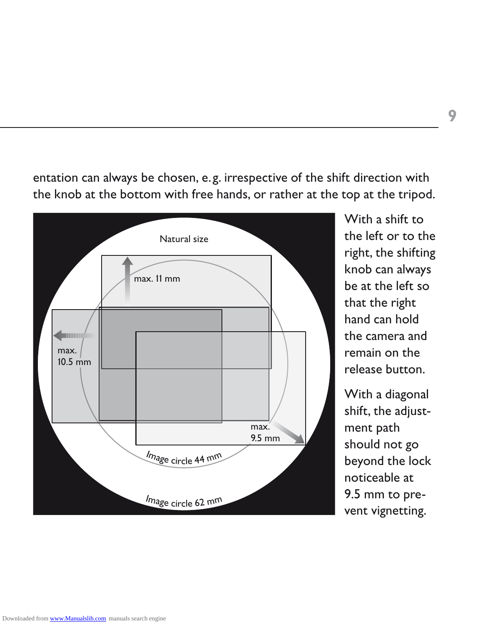

With a shift to the left or to the right, the shifting knob can always be at the left so that the right hand can hold the camera and remain on the

With a diagonal shift, the adjustment path should not go beyond the lock noticeable at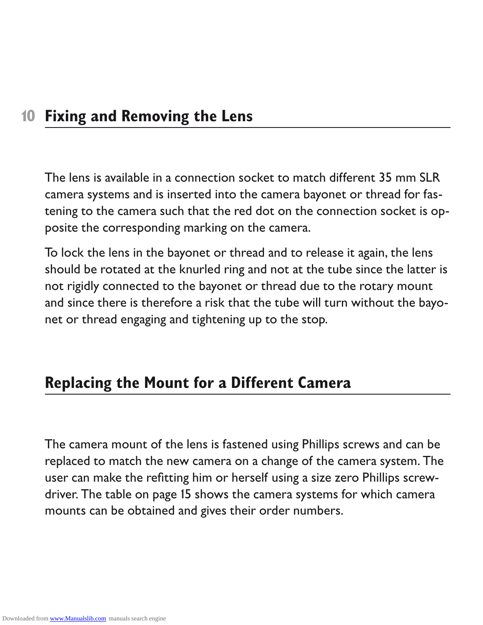#### **¡0 Fixing and Removing the Lens**

The lens is available in a connection socket to match different 35 mm SLR camera systems and is inserted into the camera bayonet or thread for fastening to the camera such that the red dot on the connection socket is op-

posite the corresponding marking on the camera<br>To lock the lens in the bayonet or thread and to i<br>should be rotated at the knurled ring and not at i<br>not rigidly connected to the bayonet or thread d<br>and since there is there To lock the lens in the bayonet or thread and to release it again, the lens should be rotated at the knurled ring and not at the tube since the latter is not rigidly connected to the bayonet or thread due to the rotary mount and since there is therefore a risk that the tube will turn without the bayo-

#### **Replacing the Mount for a Different Camera**

net or thread engaging and tightening up to the stop.<br> **Replacing the Mount for a Different Came**<br>
The camera mount of the lens is fastened using Phillip<br>
replaced to match the new camera on a change of the<br>
user can make The camera mount of the lens is fastened using Phillips screws and can be replaced to match the new camera on a change of the camera system. The<br>user can make the refitting him or herself using a size zero Phillips screw-<br>driver. The table on page 15 shows the camera systems for which camera<br>mou user can make the refitting him or herself using a size zero Phillips screwdriver. The table on page 15 shows the camera systems for which camera<br>mounts can be obtained and gives their order numbers.<br>Noting the control of the camera systems. mounts can be obtained and gives their order numbers.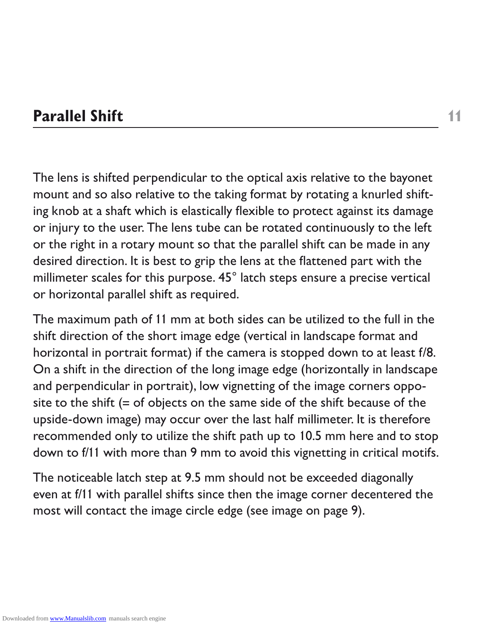#### **Parallel Shift 11**

The lens is shifted perpendicular to the optical axis relative to the bayonet mount and so also relative to the taking format by rotating a knurled shifting knob at a shaft which is elastically flexible to protect against its damage or the right in a rotary mount so that the parallel shift can be made in any

or injury to the user. The lens tube can be rotated continuously to the left<br>or the right in a rotary mount so that the parallel shift can be made in any<br>desired direction. It is best to grip the lens at the flattened part desired direction. It is best to grip the lens at the flattened part with the millimeter scales for this purpose. 45° latch steps ensure a precise vertica or horizontal parallel shift as required.<br>The maximum path of 11 mm millimeter scales for this purpose. 45° latch steps ensure a precise vertical<br>or horizontal parallel shift as required.<br>The maximum path of 11 mm at both sides can be utilized to the full in the<br>shift direction of the shor or horizontal parallel shift as required<br>The maximum path of 11 mm at both<br>shift direction of the short image edge<br>horizontal in portrait format) if the ca<br>On a shift in the direction of the long<br>and perpendicular in portr The maximum path of 11 mm at both sides can be utilized to the full in the shift direction of the short image edge (vertical in landscape format and horizontal in portrait format) if the camera is stopped down to at least f/8<br>On a shift in the direction of the long image edge (horizontally in landscape<br>and perpendicular in portrait), low vignetting of the image corners On a shift in the direction of the long image edge (horizontally in landscape and perpendicular in portrait), low vignetting of the image corners opposite to the shift (= of objects on the same side of the shift because of the

upside-down image) may occur over the last half millimeter. It is therefore<br>recommended only to utilize the shift path up to 10.5 mm here and to stop<br>down to f/11 with more than 9 mm to avoid this vignetting in critical mo recommended only to utilize the shift path up to 10.5 mm here and to stop<br>down to f/11 with more than 9 mm to avoid this vignetting in critical motifs.<br>The noticeable latch step at 9.5 mm should not be exceeded diagonally<br> down to f/11 with more than 9 mm to avoid this vignetting in critical motifs<br>The noticeable latch step at 9.5 mm should not be exceeded diagonally<br>even at f/11 with parallel shifts since then the image corner decentered th The noticeable latch step at 9.5 mm should not be exceeded diagonally<br>even at f/11 with parallel shifts since then the image corner decentered is<br>most will contact the image circle edge (see image on page 9). even at f/11 with parallel shifts since then the image corner decentered the most will contact the image circle edge (see image on page 9).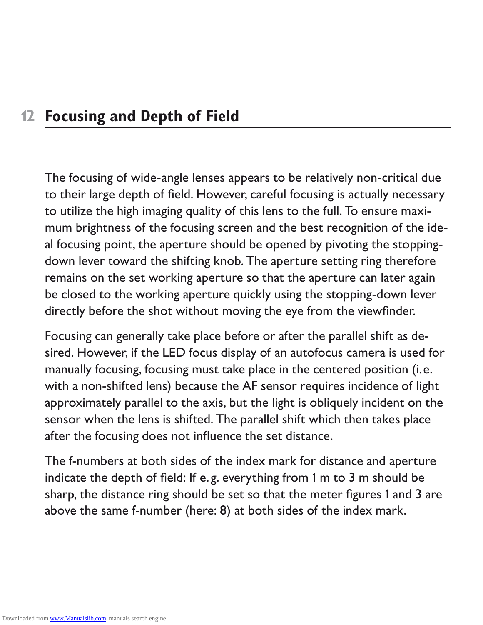#### **¡2 Focusing and Depth of Field**

The focusing of wide-angle lenses appears to be relatively non-critical due to their large depth of field. However, careful focusing is actually necessary<br>to utilize the high imaging quality of this lens to the full. To ensure maxi-<br>mum brightness of the focusing screen and the best recognition of to utilize the high imaging quality of this lens to the full. To ensure maxi-<br>mum brightness of the focusing screen and the best recognition of the i<br>al focusing point, the aperture should be opened by pivoting the stoppin mum brightness of the focusing screen and the best recognition of the ideal focusing point, the aperture should be opened by pivoting the stoppingremains on the set working aperture so that the aperture can later again be closed to the working aperture quickly using the stopping-down lever

down lever toward the shifting knob. The aperture setting ring therefore remains on the set working aperture so that the aperture can later again be closed to the working aperture quickly using the stopping-down lever dire directly before the shot without moving the eye from the viewfinder.<br>Focusing can generally take place before or after the parallel shift as c<br>sired. However, if the LED focus display of an autofocus camera is use<br>manually Focusing can generally take place before or after the parallel shift as desired. However, if the LED focus display of an autofocus camera is used for<br>manually focusing, focusing must take place in the centered position (i.e.<br>with a non-shifted lens) because the AF sensor requires incidence of li manually focusing, focusing must take place in the centered position (i.e.<br>with a non-shifted lens) because the AF sensor requires incidence of lig<br>approximately parallel to the axis, but the light is obliquely incident on with a non-shifted lens) because the AF sensor requires incidence of light approximately parallel to the axis, but the light is obliquely incident on the

sensor when the lens is shifted. The parallel shift which then takes place<br>after the focusing does not influence the set distance.<br>The f-numbers at both sides of the index mark for distance and aperture<br>indicate the depth after the focusing does not influence the set distance<br>The f-numbers at both sides of the index mark for di-<br>indicate the depth of field: If e.g. everything from 1 m<br>sharp, the distance ring should be set so that the met<br>a The f-numbers at both sides of the index mark for distance and aperture indicate the depth of field: If e.g. everything from 1 m to 3 m should be<br>sharp, the distance ring should be set so that the meter figures 1 and 3 a<br>above the same f-number (here: 8) at both sides of the index mark. sharp, the distance ring should be set so that the meter figures 1 and 3 are above the same f-number (here: 8) at both sides of the index mark.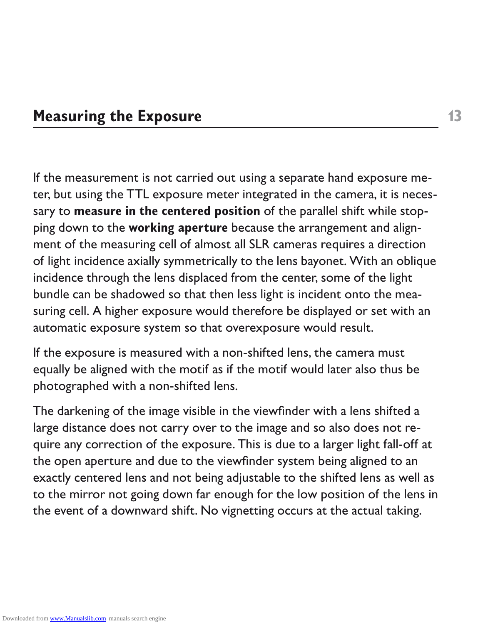#### **Measuring the Exposure**

1<br>
out using a separate hand exposure me-<br>
neter integrated in the camera, it is neces-<br> **position** of the parallel shift while stop-<br> **ree** because the arrangement and align-<br>
ost all SLR cameras requires a direction<br>
cal If the measurement is not carried out using a separate hand exposure meter, but using the TTL exposure meter integrated in the camera, it is necessary to **measure in the centered position** of the parallel shift while stopping down to the **working aperture** because the arrangement and alignment of the measuring cell of almost all SLR cameras requires a direction incidence through the lens displaced from the center, some of the light bundle can be shadowed so that then less light is incident onto the mea-

If the exposure is measured with a non-shifted lens, the camera must equally be aligned with the motif as if the motif would later also thus be

of light incidence axially symmetrically to the lens bayonet. With an oblique incidence through the lens displaced from the center, some of the light bundle can be shadowed so that then less light is incident onto the meas suring cell. A higher exposure would therefore be displayed or set with an automatic exposure system so that overexposure would result.<br>If the exposure is measured with a non-shifted lens, the camera must<br>equally be aligne automatic exposure system so that overexposure would result<br>If the exposure is measured with a non-shifted lens, the camera<br>equally be aligned with the motif as if the motif would later also<br>photographed with a non-shifted photographed with a non-shifted lens<br>The darkening of the image visible in t<br>large distance does not carry over to<br>quire any correction of the exposure.<br>the open aperture and due to the viev<br>exactly centered lens and not b The darkening of the image visible in the viewfinder with a lens shifted a large distance does not carry over to the image and so also does not require any correction of the exposure. This is due to a larger light fall-off at<br>the open aperture and due to the viewfinder system being aligned to an<br>exactly centered lens and not being adjustable to the shifted lens as w the open aperture and due to the viewfinder system being aligned to an exactly centered lens and not being adjustable to the shifted lens as well as to the mirror not going down far enough for the low position of the lens in the event of a downward shift. No vignetting occurs at the actual taking.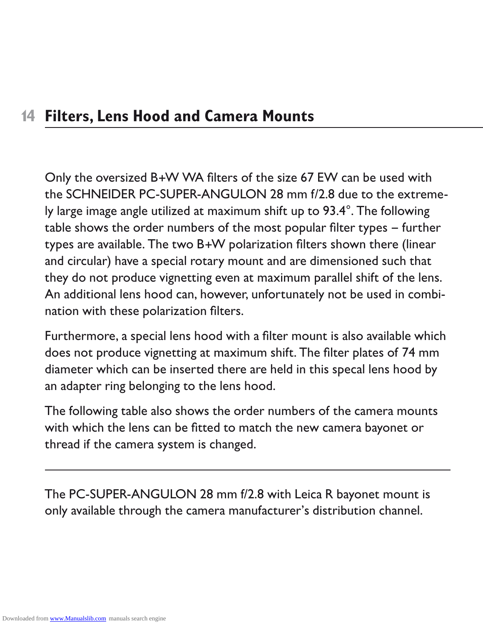**Filters, Lens Hood and Camera Mounts**<br>
Only the oversized B+W WA filters of the size 67<br>
the SCHNEIDER PC-SUPER-ANGULON 28 mm f<br>
ly large image angle utilized at maximum shift up to<br>
table shows the order numbers of the m Only the oversized B+W WA filters of the size 67 EW can be used with the SCHNEIDER PC-SUPER-ANGULON 28 mm f/2.8 due to the extreme-<br>by large image angle utilized at maximum shift up to 93.4°. The following<br>table shows the order numbers of the most popular filter types – further<br>types are av ly large image angle utilized at maximum shift up to 93.4°. The following<br>table shows the order numbers of the most popular filter types – furthe<br>types are available. The two B+W polarization filters shown there (linea<br>and table shows the order numbers of the most popular filter types – further types are available. The two B+W polarization filters shown there (linear<br>and circular) have a special rotary mount and are dimensioned such that<br>they do not produce vignetting even at maximum parallel shift of the lens<br>An and circular) have a special rotary mount and are dimensioned such that An additional lens hood can, however, unfortunately not be used in combi-

they do not produce vignetting even at maximum parallel shift of the lens<br>An additional lens hood can, however, unfortunately not be used in combi<br>nation with these polarization filters.<br>Furthermore, a special lens hood wi nation with these polarization filters<br>Furthermore, a special lens hood wit<br>does not produce vignetting at maxi<br>diameter which can be inserted ther<br>an adapter ring belonging to the lens<br>The following table also shows the o Furthermore, a special lens hood with a filter mount is also available which does not produce vignetting at maximum shift. The filter plates of 74 mm<br>diameter which can be inserted there are held in this specal lens hood by<br>an adapter ring belonging to the lens hood.<br>The following table also shows diameter which can be inserted there are held in this specal lens hood by

an adapter ring belonging to the lens hood<br>The following table also shows the order n<br>with which the lens can be fitted to match<br>thread if the camera system is changed.<br>The PC-SUPER-ANGULON 28 mm f/2.8 v<br>only available thr The following table also shows the order numbers of the camera mounts with which the lens can be fitted to match the new camera bayonet or

thread if the camera system is changed. The PC-SUPER-ANGULON 28 mm f/2.8 with Leica R bayonet mount is<br>only available through the camera manufacturer's distribution channel.<br>Intervalse through the camera manufacturer's distribution channel. only available through the camera manufacturer's distribution channel.<br>.<br>.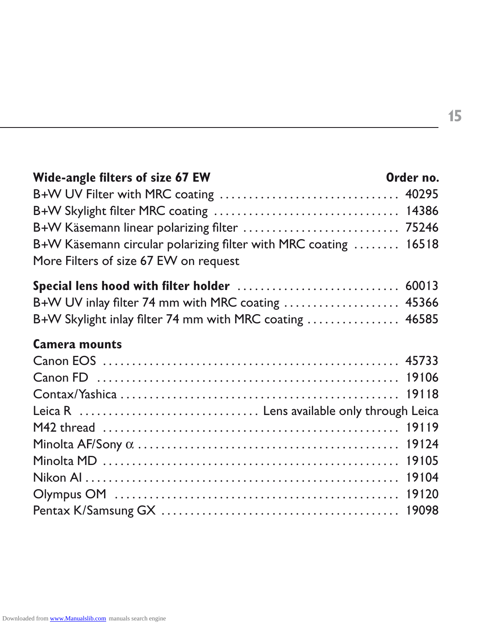| Wide-angle filters of size 67 EW                                | Order no. |
|-----------------------------------------------------------------|-----------|
| B+W UV Filter with MRC coating  40295                           |           |
|                                                                 |           |
| B+W Käsemann linear polarizing filter  75246                    |           |
| B+W Käsemann circular polarizing filter with MRC coating  16518 |           |
| More Filters of size 67 EW on request                           |           |
|                                                                 |           |
| B+W UV inlay filter 74 mm with MRC coating  45366               |           |
| B+W Skylight inlay filter 74 mm with MRC coating  46585         |           |
| <b>Camera mounts</b>                                            |           |
|                                                                 |           |
|                                                                 |           |
|                                                                 |           |
| Leica R  Lens available only through Leica                      |           |
|                                                                 |           |
|                                                                 |           |
|                                                                 |           |
|                                                                 |           |
|                                                                 |           |
|                                                                 |           |